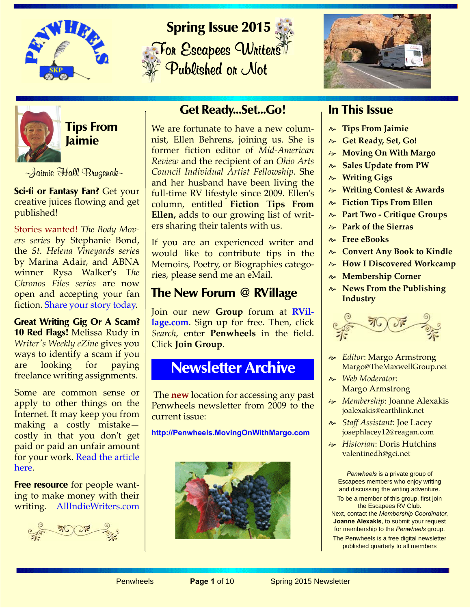







**Tips From Jaimie**

~Jaimie Hall Bruzenak~

**Sci-fi or Fantasy Fan?** Get your creative juices flowing and get published!

Stories wanted! *The Body Movers series* by Stephanie Bond, the *St. Helena Vineyards serie*s by Marina Adair, and ABNA winner Rysa Walker's T*he Chronos Files series* [are now](https://kindleworlds.amazon.com/?ref_=pe_390220_130321370_47) [open and accepting your fan](https://kindleworlds.amazon.com/?ref_=pe_390220_130321370_47) [fiction. S](https://kindleworlds.amazon.com/?ref_=pe_390220_130321370_47)hare your story today.

**Great Writing Gig Or A Scam? 10 Red Flags!** Melissa Rudy in *Writer's Weekly eZine* gives you ways to identify a scam if you are looking for paying freelance writing assignments.

Some are common sense or apply to other things on the Internet. It may keep you from making a costly mistake costly in that you don't get paid or paid an unfair amount for your work. [Read the article](http://writersweekly.com/this_weeks_article/009019_02192015.html) [here.](http://writersweekly.com/this_weeks_article/009019_02192015.html)

**Free resource** for people wanting to make money with their writing. [AllIndieWriters.com](http://allindiewriters.com/about/ )

## **Get Ready...Set...Go!**

We are fortunate to have a new columnist, Ellen Behrens, joining us. She is former fiction editor of *Mid-American Review* and the recipient of an *Ohio Arts Council Individual Artist Fellowship*. She and her husband have been living the full-time RV lifestyle since 2009. Ellen's column, entitled **Fiction Tips From Ellen,** adds to our growing list of writers sharing their talents with us.

If you are an experienced writer and would like to contribute tips in the Memoirs, Poetry, or Biographies categories, please send me an eMail.

## **The New Forum @ RVillage**

Join our new **Group** forum at **[RVil](http://rvillage.com)[lage.com](http://rvillage.com)**. Sign up for free. Then, click *Search*, enter **Penwheels** in the field. Click **Join Group**.

# **Newsletter Archive**

 The **new** location for accessing any past Penwheels newsletter from 2009 to the current issue:

**http://Penwheels.MovingOnWithMargo.com**



## **In This Issue**

- **Tips From Jaimie**
- **Get Ready, Set, Go!**
- **Moving On With Margo**
- **Sales Update from PW**
- **Writing Gigs**
- **Writing Contest & Awards**
- **Fiction Tips From Ellen**
- **Part Two Critique Groups**
- **Park of the Sierras**
- **Free eBooks**
- **Convert Any Book to Kindle**
- **How I Discovered Workcamp**
- **Membership Corner**
- **News From the Publishing Industry**



- *Editor*: Margo Armstrong Margo@TheMaxwellGroup.net
- *Web Moderator*: Margo Armstrong
- *Membership*: Joanne Alexakis joalexakis@earthlink.net
- *Staff Assistant*: Joe Lacey josephlacey12@reagan.com
- *Historian*: Doris Hutchins valentinedh@gci.net

*Penwheels* is a private group of Escapees members who enjoy writing and discussing the writing adventure. To be a member of this group, first join the Escapees RV Club. Next, contact the *Membership Coordinator*,

**Joanne Alexakis**, to submit your request for membership to the *Penwheels* group. The Penwheels is a free digital newsletter

published quarterly to all members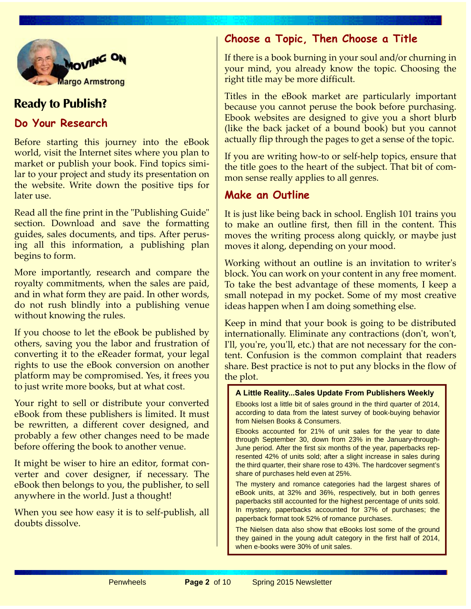

## **Ready to Publish?**

### **Do Your Research**

Before starting this journey into the eBook world, visit the Internet sites where you plan to market or publish your book. Find topics similar to your project and study its presentation on the website. Write down the positive tips for later use.

Read all the fine print in the "Publishing Guide" section. Download and save the formatting guides, sales documents, and tips. After perusing all this information, a publishing plan begins to form.

More importantly, research and compare the royalty commitments, when the sales are paid, and in what form they are paid. In other words, do not rush blindly into a publishing venue without knowing the rules.

If you choose to let the eBook be published by others, saving you the labor and frustration of converting it to the eReader format, your legal rights to use the eBook conversion on another platform may be compromised. Yes, it frees you to just write more books, but at what cost.

Your right to sell or distribute your converted eBook from these publishers is limited. It must be rewritten, a different cover designed, and probably a few other changes need to be made before offering the book to another venue.

It might be wiser to hire an editor, format converter and cover designer, if necessary. The eBook then belongs to you, the publisher, to sell anywhere in the world. Just a thought!

When you see how easy it is to self-publish, all doubts dissolve.

### **Choose a Topic, Then Choose a Title**

If there is a book burning in your soul and/or churning in your mind, you already know the topic. Choosing the right title may be more difficult.

Titles in the eBook market are particularly important because you cannot peruse the book before purchasing. Ebook websites are designed to give you a short blurb (like the back jacket of a bound book) but you cannot actually flip through the pages to get a sense of the topic.

If you are writing how-to or self-help topics, ensure that the title goes to the heart of the subject. That bit of common sense really applies to all genres.

### **Make an Outline**

It is just like being back in school. English 101 trains you to make an outline first, then fill in the content. This moves the writing process along quickly, or maybe just moves it along, depending on your mood.

Working without an outline is an invitation to writer's block. You can work on your content in any free moment. To take the best advantage of these moments, I keep a small notepad in my pocket. Some of my most creative ideas happen when I am doing something else.

Keep in mind that your book is going to be distributed internationally. Eliminate any contractions (don't, won't, I'll, you're, you'll, etc.) that are not necessary for the content. Confusion is the common complaint that readers share. Best practice is not to put any blocks in the flow of the plot.

#### **A Little Reality...Sales Update From Publishers Weekly**

Ebooks lost a little bit of sales ground in the third quarter of 2014, according to data from the latest survey of book-buying behavior from Nielsen Books & Consumers.

Ebooks accounted for 21% of unit sales for the year to date through September 30, down from 23% in the January-through-June period. After the first six months of the year, paperbacks represented 42% of units sold; after a slight increase in sales during the third quarter, their share rose to 43%. The hardcover segment's share of purchases held even at 25%.

The mystery and romance categories had the largest shares of eBook units, at 32% and 36%, respectively, but in both genres paperbacks still accounted for the highest percentage of units sold. In mystery, paperbacks accounted for 37% of purchases; the paperback format took 52% of romance purchases.

The Nielsen data also show that eBooks lost some of the ground they gained in the young adult category in the first half of 2014, when e-books were 30% of unit sales.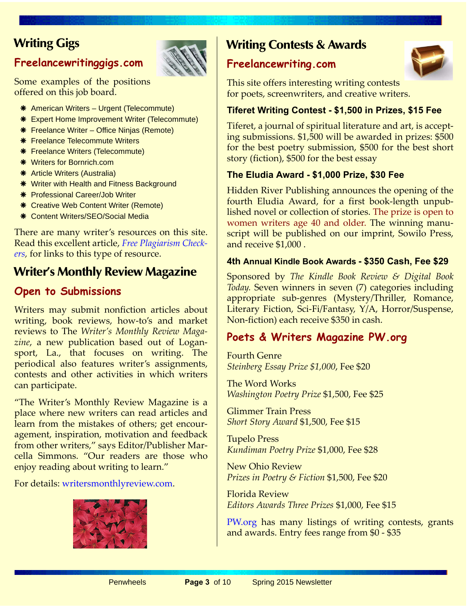## **Writing Gigs**

## **[Freelancewritinggigs.com](http://Freelancewritinggigs.com)**



Some examples of the positions offered on this job board.

- American Writers Urgent (Telecommute)
- **\*** Expert Home Improvement Writer (Telecommute)
- **\*** Freelance Writer Office Ninjas (Remote)
- **\*** Freelance Telecommute Writers
- **\*** Freelance Writers (Telecommute)
- **\*** Writers for Bornrich.com
- **\*** Article Writers (Australia)
- **\*** Writer with Health and Fitness Background
- **\*** Professional Career/Job Writer
- **\*** Creative Web Content Writer (Remote)
- \* Content Writers/SEO/Social Media

There are many writer's resources on this site. Read this excellent article, *[Free Plagiarism Check](http://freelancewritinggigs.com)ers*, for links to this type of resource.

## **Writer's Monthly Review Magazine**

## **Open to Submissions**

Writers may submit nonfiction articles about writing, book reviews, how-to's and market reviews to The *Writer's Monthly Review Magazine*, a new publication based out of Logansport, La., that focuses on writing. The periodical also features writer's assignments, contests and other activities in which writers can participate.

"The Writer's Monthly Review Magazine is a place where new writers can read articles and learn from the mistakes of others; get encouragement, inspiration, motivation and feedback from other writers," says Editor/Publisher Marcella Simmons. "Our readers are those who enjoy reading about writing to learn."

For details: [writersmonthlyreview.com](http://writersmonthlyreview.com).



## **Writing Contests & Awards**

### **[Freelancewriting.com](http://Freelancewriting.com)**



This site offers interesting writing contests for poets, screenwriters, and creative writers.

### **Tiferet Writing Contest - \$1,500 in Prizes, \$15 Fee**

Tiferet, a journal of spiritual literature and art, is accepting submissions. \$1,500 will be awarded in prizes: \$500 for the best poetry submission, \$500 for the best short story (fiction), \$500 for the best essay

### **The Eludia Award - \$1,000 Prize, \$30 Fee**

Hidden River Publishing announces the opening of the fourth Eludia Award, for a first book-length unpublished novel or collection of stories. The prize is open to women writers age 40 and older. The winning manuscript will be published on our imprint, Sowilo Press, and receive \$1,000 .

#### **4th Annual Kindle Book Awards - \$350 Cash, Fee \$29**

Sponsored by *The Kindle Book Review & Digital Book Today.* Seven winners in seven (7) categories including appropriate sub-genres (Mystery/Thriller, Romance, Literary Fiction, Sci-Fi/Fantasy, Y/A, Horror/Suspense, Non-fiction) each receive \$350 in cash.

## **[Poets & Writers Magazine PW.org](http://pw.org)**

Fourth Genre *Steinberg Essay Prize \$1,000*, Fee \$20

The Word Works *Washington Poetry Prize* \$1,500, Fee \$25

Glimmer Train Press *Short Story Award* \$1,500, Fee \$15

Tupelo Press *Kundiman Poetry Prize* \$1,000, Fee \$28

New Ohio Review *Prizes in Poetry & Fiction* \$1,500, Fee \$20

Florida Review *Editors Awards Three Prizes* \$1,000, Fee \$15

[PW.org](http:// PW.org) has many listings of writing contests, grants and awards. Entry fees range from \$0 - \$35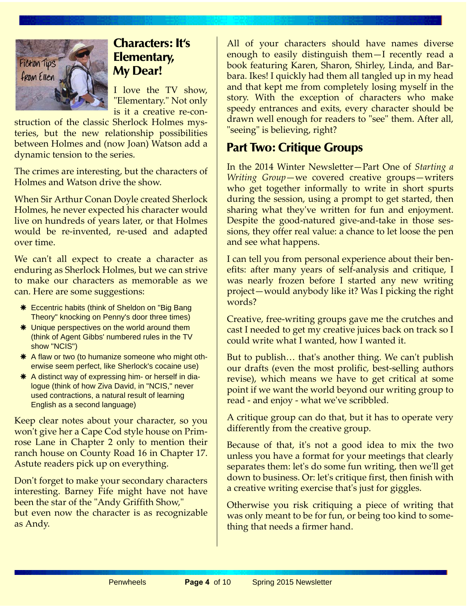

## **Characters: It's Elementary, My Dear!**

I love the TV show, "Elementary." Not only is it a creative re-con-

struction of the classic Sherlock Holmes mysteries, but the new relationship possibilities between Holmes and (now Joan) Watson add a dynamic tension to the series.

The crimes are interesting, but the characters of Holmes and Watson drive the show.

When Sir Arthur Conan Doyle created Sherlock Holmes, he never expected his character would live on hundreds of years later, or that Holmes would be re-invented, re-used and adapted over time.

We can't all expect to create a character as enduring as Sherlock Holmes, but we can strive to make our characters as memorable as we can. Here are some suggestions:

- **\*** Eccentric habits (think of Sheldon on "Big Bang" Theory" knocking on Penny's door three times)
- \* Unique perspectives on the world around them (think of Agent Gibbs' numbered rules in the TV show "NCIS")
- \* A flaw or two (to humanize someone who might otherwise seem perfect, like Sherlock's cocaine use)
- \* A distinct way of expressing him- or herself in dialogue (think of how Ziva David, in "NCIS," never used contractions, a natural result of learning English as a second language)

Keep clear notes about your character, so you won't give her a Cape Cod style house on Primrose Lane in Chapter 2 only to mention their ranch house on County Road 16 in Chapter 17. Astute readers pick up on everything.

Don't forget to make your secondary characters interesting. Barney Fife might have not have been the star of the "Andy Griffith Show," but even now the character is as recognizable as Andy.

All of your characters should have names diverse enough to easily distinguish them—I recently read a book featuring Karen, Sharon, Shirley, Linda, and Barbara. Ikes! I quickly had them all tangled up in my head and that kept me from completely losing myself in the story. With the exception of characters who make speedy entrances and exits, every character should be drawn well enough for readers to "see" them. After all, "seeing" is believing, right?

## **Part Two: Critique Groups**

In the 2014 Winter Newsletter—Part One of *Starting a Writing Group*—we covered creative groups—writers who get together informally to write in short spurts during the session, using a prompt to get started, then sharing what they've written for fun and enjoyment. Despite the good-natured give-and-take in those sessions, they offer real value: a chance to let loose the pen and see what happens.

I can tell you from personal experience about their benefits: after many years of self-analysis and critique, I was nearly frozen before I started any new writing project—would anybody like it? Was I picking the right words?

Creative, free-writing groups gave me the crutches and cast I needed to get my creative juices back on track so I could write what I wanted, how I wanted it.

But to publish… that's another thing. We can't publish our drafts (even the most prolific, best-selling authors revise), which means we have to get critical at some point if we want the world beyond our writing group to read - and enjoy - what we've scribbled.

A critique group can do that, but it has to operate very differently from the creative group.

Because of that, it's not a good idea to mix the two unless you have a format for your meetings that clearly separates them: let's do some fun writing, then we'll get down to business. Or: let's critique first, then finish with a creative writing exercise that's just for giggles.

Otherwise you risk critiquing a piece of writing that was only meant to be for fun, or being too kind to something that needs a firmer hand.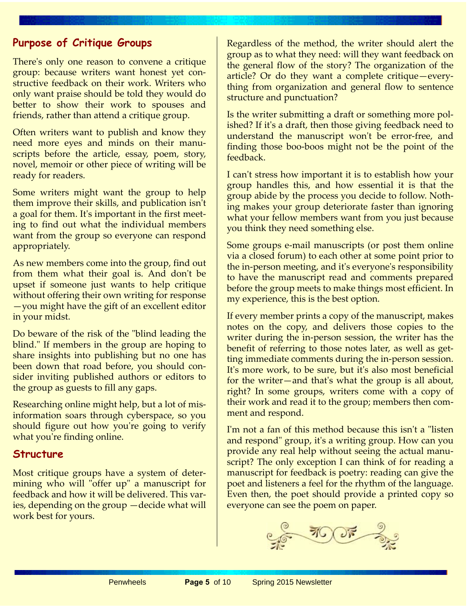### **Purpose of Critique Groups**

There's only one reason to convene a critique group: because writers want honest yet constructive feedback on their work. Writers who only want praise should be told they would do better to show their work to spouses and friends, rather than attend a critique group.

Often writers want to publish and know they need more eyes and minds on their manuscripts before the article, essay, poem, story, novel, memoir or other piece of writing will be ready for readers.

Some writers might want the group to help them improve their skills, and publication isn't a goal for them. It's important in the first meeting to find out what the individual members want from the group so everyone can respond appropriately.

As new members come into the group, find out from them what their goal is. And don't be upset if someone just wants to help critique without offering their own writing for response —you might have the gift of an excellent editor in your midst.

Do beware of the risk of the "blind leading the blind." If members in the group are hoping to share insights into publishing but no one has been down that road before, you should consider inviting published authors or editors to the group as guests to fill any gaps.

Researching online might help, but a lot of misinformation soars through cyberspace, so you should figure out how you're going to verify what you're finding online.

#### **Structure**

Most critique groups have a system of determining who will "offer up" a manuscript for feedback and how it will be delivered. This varies, depending on the group —decide what will work best for yours.

Regardless of the method, the writer should alert the group as to what they need: will they want feedback on the general flow of the story? The organization of the article? Or do they want a complete critique—everything from organization and general flow to sentence structure and punctuation?

Is the writer submitting a draft or something more polished? If it's a draft, then those giving feedback need to understand the manuscript won't be error-free, and finding those boo-boos might not be the point of the feedback.

I can't stress how important it is to establish how your group handles this, and how essential it is that the group abide by the process you decide to follow. Nothing makes your group deteriorate faster than ignoring what your fellow members want from you just because you think they need something else.

Some groups e-mail manuscripts (or post them online via a closed forum) to each other at some point prior to the in-person meeting, and it's everyone's responsibility to have the manuscript read and comments prepared before the group meets to make things most efficient. In my experience, this is the best option.

If every member prints a copy of the manuscript, makes notes on the copy, and delivers those copies to the writer during the in-person session, the writer has the benefit of referring to those notes later, as well as getting immediate comments during the in-person session. It's more work, to be sure, but it's also most beneficial for the writer—and that's what the group is all about, right? In some groups, writers come with a copy of their work and read it to the group; members then comment and respond.

I'm not a fan of this method because this isn't a "listen and respond" group, it's a writing group. How can you provide any real help without seeing the actual manuscript? The only exception I can think of for reading a manuscript for feedback is poetry: reading can give the poet and listeners a feel for the rhythm of the language. Even then, the poet should provide a printed copy so everyone can see the poem on paper.

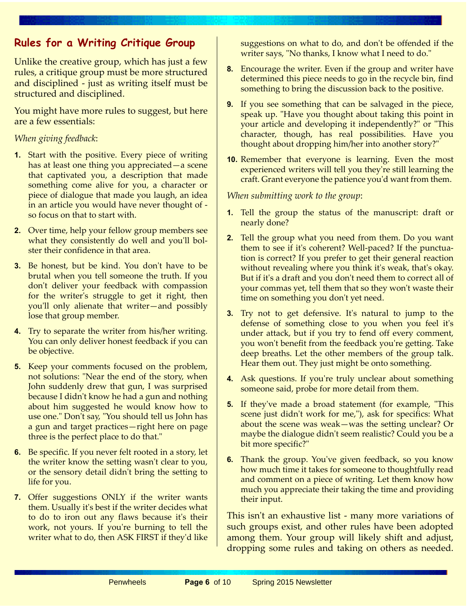## **Rules for a Writing Critique Group**

Unlike the creative group, which has just a few rules, a critique group must be more structured and disciplined - just as writing itself must be structured and disciplined.

You might have more rules to suggest, but here are a few essentials:

#### *When giving feedback*:

- **1.** Start with the positive. Every piece of writing has at least one thing you appreciated—a scene that captivated you, a description that made something come alive for you, a character or piece of dialogue that made you laugh, an idea in an article you would have never thought of so focus on that to start with.
- **2.** Over time, help your fellow group members see what they consistently do well and you'll bolster their confidence in that area.
- **3.** Be honest, but be kind. You don't have to be brutal when you tell someone the truth. If you don't deliver your feedback with compassion for the writer's struggle to get it right, then you'll only alienate that writer—and possibly lose that group member.
- **4.** Try to separate the writer from his/her writing. You can only deliver honest feedback if you can be objective.
- **5.** Keep your comments focused on the problem, not solutions: "Near the end of the story, when John suddenly drew that gun, I was surprised because I didn't know he had a gun and nothing about him suggested he would know how to use one." Don't say, "You should tell us John has a gun and target practices—right here on page three is the perfect place to do that."
- **6.** Be specific. If you never felt rooted in a story, let the writer know the setting wasn't clear to you, or the sensory detail didn't bring the setting to life for you.
- **7.** Offer suggestions ONLY if the writer wants them. Usually it's best if the writer decides what to do to iron out any flaws because it's their work, not yours. If you're burning to tell the writer what to do, then ASK FIRST if they'd like

suggestions on what to do, and don't be offended if the writer says, "No thanks, I know what I need to do."

- **8.** Encourage the writer. Even if the group and writer have determined this piece needs to go in the recycle bin, find something to bring the discussion back to the positive.
- **9.** If you see something that can be salvaged in the piece, speak up. "Have you thought about taking this point in your article and developing it independently?" or "This character, though, has real possibilities. Have you thought about dropping him/her into another story?"
- **10.** Remember that everyone is learning. Even the most experienced writers will tell you they're still learning the craft. Grant everyone the patience you'd want from them.

#### *When submitting work to the group*:

- **1.** Tell the group the status of the manuscript: draft or nearly done?
- **2.** Tell the group what you need from them. Do you want them to see if it's coherent? Well-paced? If the punctuation is correct? If you prefer to get their general reaction without revealing where you think it's weak, that's okay. But if it's a draft and you don't need them to correct all of your commas yet, tell them that so they won't waste their time on something you don't yet need.
- **3.** Try not to get defensive. It's natural to jump to the defense of something close to you when you feel it's under attack, but if you try to fend off every comment, you won't benefit from the feedback you're getting. Take deep breaths. Let the other members of the group talk. Hear them out. They just might be onto something.
- **4.** Ask questions. If you're truly unclear about something someone said, probe for more detail from them.
- **5.** If they've made a broad statement (for example, "This scene just didn't work for me,"), ask for specifics: What about the scene was weak—was the setting unclear? Or maybe the dialogue didn't seem realistic? Could you be a bit more specific?"
- **6.** Thank the group. You've given feedback, so you know how much time it takes for someone to thoughtfully read and comment on a piece of writing. Let them know how much you appreciate their taking the time and providing their input.

This isn't an exhaustive list - many more variations of such groups exist, and other rules have been adopted among them. Your group will likely shift and adjust, dropping some rules and taking on others as needed.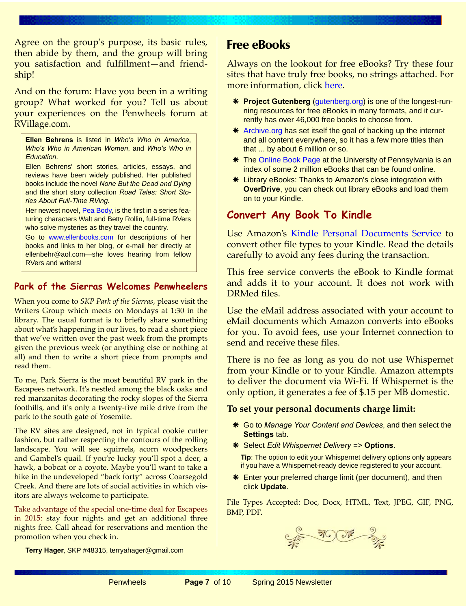Agree on the group's purpose, its basic rules, then abide by them, and the group will bring you satisfaction and fulfillment—and friendship!

And on the forum: Have you been in a writing group? What worked for you? Tell us about your experiences on the Penwheels forum at RVillage.com.

**Ellen Behrens** is listed in *Who's Who in America*, *Who's Who in American Women*, and *Who's Who in Education*.

Ellen Behrens' short stories, articles, essays, and reviews have been widely published. Her published books include the novel *None But the Dead and Dying* and the short story collection *Road Tales: Short Stories About Full-Time RVing*.

Her newest novel, [Pea Body,](http://www.amazon.com/Pea-Body-Ellen-Behrens-ebook/dp/B00KMU32OO) is the first in a series featuring characters Walt and Betty Rollin, full-time RVers who solve mysteries as they travel the country.

[Go to w](http://www.ellenbooks.com)ww.ellenbooks.com for descriptions of her books and links to her blog, or e-mail her directly at ellenbehr@aol.com—she loves hearing from fellow RVers and writers!

### **Park of the Sierras Welcomes Penwheelers**

When you come to *SKP Park of the Sierras*, please visit the Writers Group which meets on Mondays at 1:30 in the library. The usual format is to briefly share something about what's happening in our lives, to read a short piece that we've written over the past week from the prompts given the previous week (or anything else or nothing at all) and then to write a short piece from prompts and read them.

To me, Park Sierra is the most beautiful RV park in the Escapees network. It's nestled among the black oaks and red manzanitas decorating the rocky slopes of the Sierra foothills, and it's only a twenty-five mile drive from the park to the south gate of Yosemite.

The RV sites are designed, not in typical cookie cutter fashion, but rather respecting the contours of the rolling landscape. You will see squirrels, acorn woodpeckers and Gambel's quail. If you're lucky you'll spot a deer, a hawk, a bobcat or a coyote. Maybe you'll want to take a hike in the undeveloped "back forty" across Coarsegold Creek. And there are lots of social activities in which visitors are always welcome to participate.

Take advantage of the special one-time deal for Escapees in 2015: stay four nights and get an additional three nights free. Call ahead for reservations and mention the promotion when you check in.

**Terry Hager**, SKP #48315, terryahager@gmail.com

## **Free eBooks**

Always on the lookout for free eBooks? Try these four sites that have truly free books, no strings attached. For more information, click [here](http://the-digital-reader.com/2014/03/16/5-sites-with-truly-free-ebooks/).

- **Project Gutenberg** ([gutenberg.org](http://gutenberg.org)) is one of the longest-running resources for free eBooks in many formats, and it currently has over 46,000 free books to choose from.
- \* [Archive.org](http://archive.org) has set itself the goal of backing up the internet and all content everywhere, so it has a few more titles than that ... by about 6 million or so.
- **\*** The [Online Book Page](http://digital.library.upenn.edu/books/)) at the University of Pennsylvania is an index of some 2 million eBooks that can be found online.
- Library eBooks: Thanks to Amazon's close integration with **OverDrive**, you can check out library eBooks and load them on to your Kindle.

### **Convert Any Book To Kindle**

Use Amazon's [Kindle Personal Documents Service](http://www.amazon.com/gp/help/customer/display.html?nodeId=201124320) to convert other file types to your Kindle. Read the details carefully to avoid any fees during the transaction.

This free service converts the eBook to Kindle format and adds it to your account. It does not work with DRMed files.

Use the eMail address associated with your account to eMail documents which Amazon converts into eBooks for you. To avoid fees, use your Internet connection to send and receive these files.

There is no fee as long as you do not use Whispernet from your Kindle or to your Kindle. Amazon attempts to deliver the document via Wi-Fi. If Whispernet is the only option, it generates a fee of \$.15 per MB domestic.

#### **To set your personal documents charge limit:**

- Go to *Manage Your Content and Devices*, and then select the **Settings** tab.
- Select *Edit Whispernet Delivery* => **Options**.

**Tip**: The option to edit your Whispernet delivery options only appears if you have a Whispernet-ready device registered to your account.

 Enter your preferred charge limit (per document), and then click **Update**.

File Types Accepted: Doc, Docx, HTML, Text, JPEG, GIF, PNG, BMP, PDF.

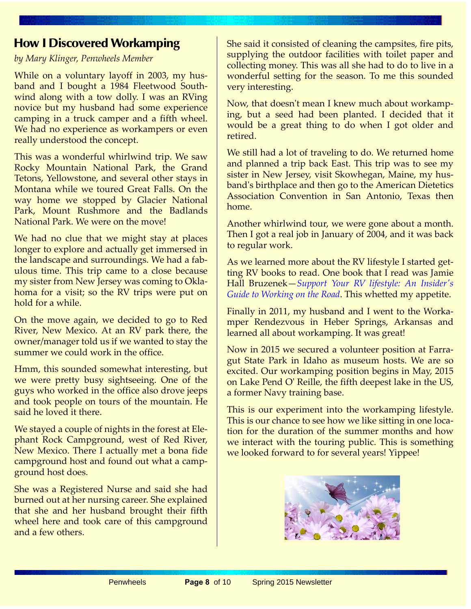## **How I Discovered Workamping**

*by Mary Klinger, Penwheels Member*

While on a voluntary layoff in 2003, my husband and I bought a 1984 Fleetwood Southwind along with a tow dolly. I was an RVing novice but my husband had some experience camping in a truck camper and a fifth wheel. We had no experience as workampers or even really understood the concept.

This was a wonderful whirlwind trip. We saw Rocky Mountain National Park, the Grand Tetons, Yellowstone, and several other stays in Montana while we toured Great Falls. On the way home we stopped by Glacier National Park, Mount Rushmore and the Badlands National Park. We were on the move!

We had no clue that we might stay at places longer to explore and actually get immersed in the landscape and surroundings. We had a fabulous time. This trip came to a close because my sister from New Jersey was coming to Oklahoma for a visit; so the RV trips were put on hold for a while.

On the move again, we decided to go to Red River, New Mexico. At an RV park there, the owner/manager told us if we wanted to stay the summer we could work in the office.

Hmm, this sounded somewhat interesting, but we were pretty busy sightseeing. One of the guys who worked in the office also drove jeeps and took people on tours of the mountain. He said he loved it there.

We stayed a couple of nights in the forest at Elephant Rock Campground, west of Red River, New Mexico. There I actually met a bona fide campground host and found out what a campground host does.

She was a Registered Nurse and said she had burned out at her nursing career. She explained that she and her husband brought their fifth wheel here and took care of this campground and a few others.

She said it consisted of cleaning the campsites, fire pits, supplying the outdoor facilities with toilet paper and collecting money. This was all she had to do to live in a wonderful setting for the season. To me this sounded very interesting.

Now, that doesn't mean I knew much about workamping, but a seed had been planted. I decided that it would be a great thing to do when I got older and retired.

We still had a lot of traveling to do. We returned home and planned a trip back East. This trip was to see my sister in New Jersey, visit Skowhegan, Maine, my husband's birthplace and then go to the American Dietetics Association Convention in San Antonio, Texas then home.

Another whirlwind tour, we were gone about a month. Then I got a real job in January of 2004, and it was back to regular work.

As we learned more about the RV lifestyle I started getting RV books to read. One book that I read was Jamie Hall Bruzenek—*[Support Your RV lifestyle: An Insider's](http://workamper.com) [Guide to Working on the Road](http://workamper.com)*. This whetted my appetite.

Finally in 2011, my husband and I went to the Workamper Rendezvous in Heber Springs, Arkansas and learned all about workamping. It was great!

Now in 2015 we secured a volunteer position at Farragut State Park in Idaho as museum hosts. We are so excited. Our workamping position begins in May, 2015 on Lake Pend O' Reille, the fifth deepest lake in the US, a former Navy training base.

This is our experiment into the workamping lifestyle. This is our chance to see how we like sitting in one location for the duration of the summer months and how we interact with the touring public. This is something we looked forward to for several years! Yippee!

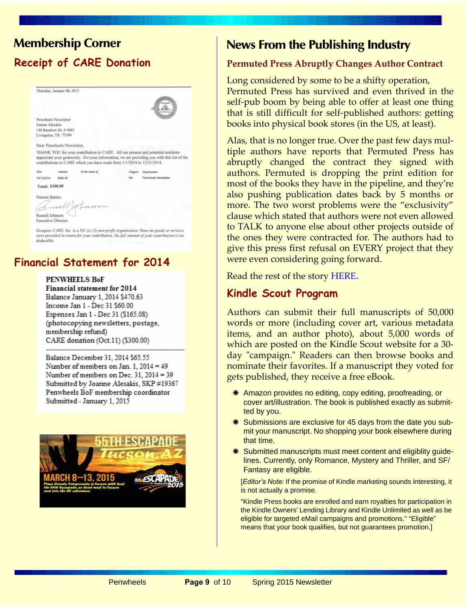# **Membership Corner Receipt of CARE Donation**

|                 | Thursday, January 08, 2015 |                                                                        |         |                                                                                                                                                                                  |
|-----------------|----------------------------|------------------------------------------------------------------------|---------|----------------------------------------------------------------------------------------------------------------------------------------------------------------------------------|
|                 |                            |                                                                        |         |                                                                                                                                                                                  |
|                 |                            |                                                                        |         | Eucases                                                                                                                                                                          |
|                 |                            |                                                                        |         |                                                                                                                                                                                  |
|                 | Penwheels Newsletter       |                                                                        |         |                                                                                                                                                                                  |
| Joanne Alexakis |                            |                                                                        |         |                                                                                                                                                                                  |
|                 | 140 Rainbow Dr. # 4093     |                                                                        |         |                                                                                                                                                                                  |
|                 | Livingston, TX 77399       |                                                                        |         |                                                                                                                                                                                  |
|                 | Dear Penwheels Newsletter. |                                                                        |         |                                                                                                                                                                                  |
|                 |                            | contributions to CARE which you have made from 1/1/2014 to 12/31/2014. |         | THANK YOU for your contribution to CARE. All our present and potential residents<br>appreciate your generosity. For your information, we are providing you with this list of the |
| Date            | Amount                     | In the name of                                                         | Chapter | Organization                                                                                                                                                                     |
| 10/12/2014      | \$300.00                   |                                                                        | NA      | Penwheels Newsletter                                                                                                                                                             |
|                 |                            |                                                                        |         |                                                                                                                                                                                  |
| Total: \$300.00 |                            |                                                                        |         |                                                                                                                                                                                  |
|                 |                            |                                                                        |         |                                                                                                                                                                                  |
| Sincere thanks, |                            |                                                                        |         |                                                                                                                                                                                  |
| Russell Johnson |                            | humall formor                                                          |         |                                                                                                                                                                                  |

Escapees CARE, Inc. is a 501 (c) (3) non-profit organization. Since no goods or services<br>were provided in return for your contribution, the full amount of your contribution is tax deductible.

### **Financial Statement for 2014**

**PENWHEELS BoF Financial statement for 2014** Balance January 1, 2014 \$470.63 Income Jan 1 - Dec 31 \$60.00 Expenses Jan 1 - Dec 31 (\$165.08) (photocopying newsletters, postage, membership refund) CARE donation (Oct.11) (\$300.00)

Balance December 31, 2014 \$65.55 Number of members on Jan. 1,  $2014 = 49$ Number of members on Dec. 31,  $2014 = 39$ Submitted by Joanne Alexakis, SKP #19367 Penwheels BoF membership coordinator Submitted - January 1, 2015



## **News From the Publishing Industry**

#### **Permuted Press Abruptly Changes Author Contract**

Long considered by some to be a shifty operation, Permuted Press has survived and even thrived in the self-pub boom by being able to offer at least one thing that is still difficult for self-published authors: getting books into physical book stores (in the US, at least).

Alas, that is no longer true. Over the past few days multiple authors have reports that Permuted Press has abruptly changed the contract they signed with authors. Permuted is dropping the print edition for most of the books they have in the pipeline, and they're also pushing publication dates back by 5 months or more. The two worst problems were the "exclusivity" clause which stated that authors were not even allowed to TALK to anyone else about other projects outside of the ones they were contracted for. The authors had to give this press first refusal on EVERY project that they were even considering going forward.

Read the rest of the story [HERE.](http://the-digital-reader.com/2014/10/15/permuted-press-drops-print-production-delays-release-schedule-demands-authors-pay-get-contracts)

#### **Kindle Scout Program**

Authors can submit their full manuscripts of 50,000 words or more (including cover art, various metadata items, and an author photo), about 5,000 words of which are posted on the Kindle Scout website for a 30 day "campaign." Readers can then browse books and nominate their favorites. If a manuscript they voted for gets published, they receive a free eBook.

- \* Amazon provides no editing, copy editing, proofreading, or cover art/illustration. The book is published exactly as submitted by you.
- \* Submissions are exclusive for 45 days from the date you submit your manuscript. No shopping your book elsewhere during that time.
- \* Submitted manuscripts must meet content and eligiblity guidelines. Currently, only Romance, Mystery and Thriller, and SF/ Fantasy are eligible.

[*Editor's Note*: If the promise of Kindle marketing sounds interesting, it is not actually a promise.

"Kindle Press books are enrolled and earn royalties for participation in the Kindle Owners' Lending Library and Kindle Unlimited as well as be eligible for targeted eMail campaigns and promotions." "Eligible" means that your book qualifies, but not guarantees promotion.]